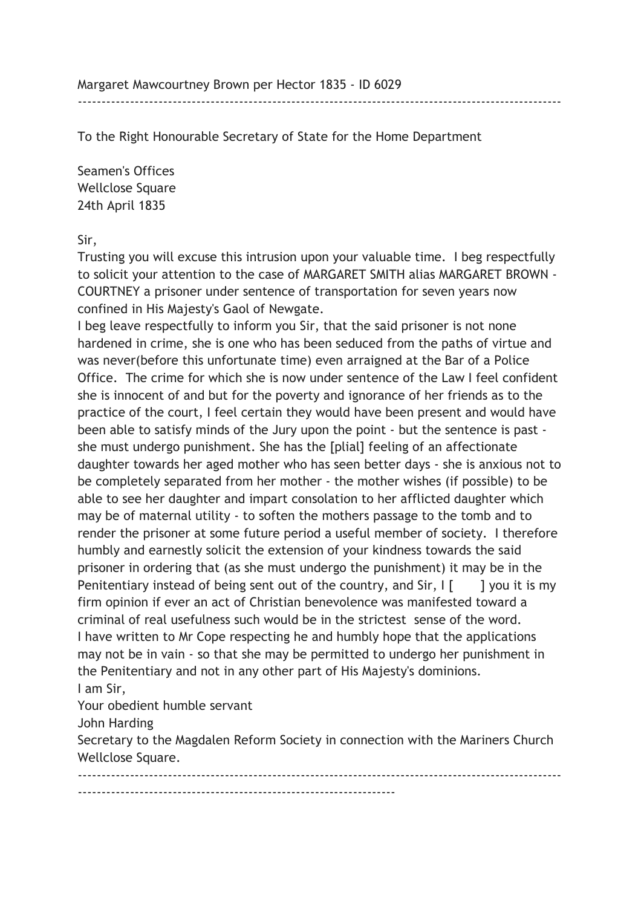Margaret Mawcourtney Brown per Hector 1835 - ID 6029

To the Right Honourable Secretary of State for the Home Department

Seamen's Offices Wellclose Square 24th April 1835

Sir,

Trusting you will excuse this intrusion upon your valuable time. I beg respectfully to solicit your attention to the case of MARGARET SMITH alias MARGARET BROWN - COURTNEY a prisoner under sentence of transportation for seven years now confined in His Majesty's Gaol of Newgate.

------------------------------------------------------------------------------------------------------

I beg leave respectfully to inform you Sir, that the said prisoner is not none hardened in crime, she is one who has been seduced from the paths of virtue and was never(before this unfortunate time) even arraigned at the Bar of a Police Office. The crime for which she is now under sentence of the Law I feel confident she is innocent of and but for the poverty and ignorance of her friends as to the practice of the court, I feel certain they would have been present and would have been able to satisfy minds of the Jury upon the point - but the sentence is past she must undergo punishment. She has the [plial] feeling of an affectionate daughter towards her aged mother who has seen better days - she is anxious not to be completely separated from her mother - the mother wishes (if possible) to be able to see her daughter and impart consolation to her afflicted daughter which may be of maternal utility - to soften the mothers passage to the tomb and to render the prisoner at some future period a useful member of society. I therefore humbly and earnestly solicit the extension of your kindness towards the said prisoner in ordering that (as she must undergo the punishment) it may be in the Penitentiary instead of being sent out of the country, and  $Sir, I$  [ ] you it is my firm opinion if ever an act of Christian benevolence was manifested toward a criminal of real usefulness such would be in the strictest sense of the word. I have written to Mr Cope respecting he and humbly hope that the applications may not be in vain - so that she may be permitted to undergo her punishment in the Penitentiary and not in any other part of His Majesty's dominions. I am Sir,

Your obedient humble servant

John Harding

Secretary to the Magdalen Reform Society in connection with the Mariners Church Wellclose Square.

------------------------------------------------------------------------------------------------------ -------------------------------------------------------------------